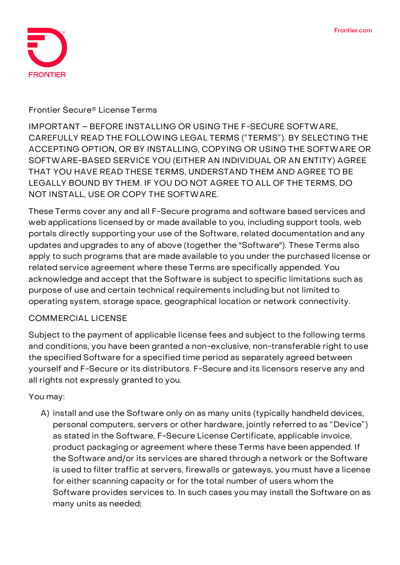

#### **Frontier Secure® License Terms**

IMPORTANT – BEFORE INSTALLING OR USING THE F-SECURE SOFTWARE, CAREFULLY READ THE FOLLOWING LEGAL TERMS ("TERMS"). BY SELECTING THE ACCEPTING OPTION, OR BY INSTALLING, COPYING OR USING THE SOFTWARE OR SOFTWARE-BASED SERVICE YOU (EITHER AN INDIVIDUAL OR AN ENTITY) AGREE THAT YOU HAVE READ THESE TERMS, UNDERSTAND THEM AND AGREE TO BE LEGALLY BOUND BY THEM. IF YOU DO NOT AGREE TO ALL OF THE TERMS, DO NOT INSTALL, USE OR COPY THE SOFTWARE.

These Terms cover any and all F-Secure programs and software based services and web applications licensed by or made available to you, including support tools, web portals directly supporting your use of the Software, related documentation and any updates and upgrades to any of above (together the "Software"). These Terms also apply to such programs that are made available to you under the purchased license or related service agreement where these Terms are specifically appended. You acknowledge and accept that the Software is subject to specific limitations such as purpose of use and certain technical requirements including but not limited to operating system, storage space, geographical location or network connectivity.

### **COMMERCIAL LICENSE**

Subject to the payment of applicable license fees and subject to the following terms and conditions, you have been granted a non-exclusive, non-transferable right to use the specified Software for a specified time period as separately agreed between yourself and F-Secure or its distributors. F-Secure and its licensors reserve any and all rights not expressly granted to you.

### **You may:**

A) install and use the Software only on as many units (typically handheld devices, personal computers, servers or other hardware, jointly referred to as "Device") as stated in the Software, F-Secure License Certificate, applicable invoice, product packaging or agreement where these Terms have been appended. If the Software and/or its services are shared through a network or the Software is used to filter traffic at servers, firewalls or gateways, you must have a license for either scanning capacity or for the total number of users whom the Software provides services to. In such cases you may install the Software on as many units as needed;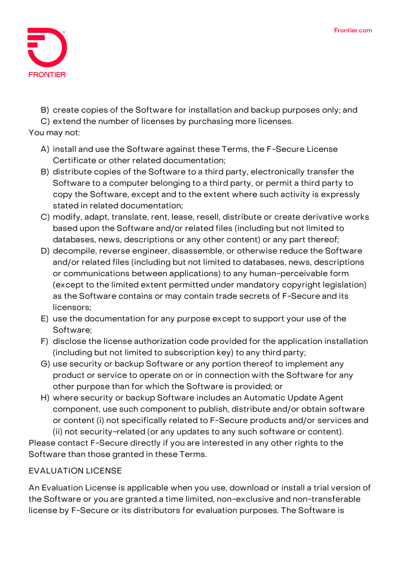

B) create copies of the Software for installation and backup purposes only; and

C) extend the number of licenses by purchasing more licenses.

### **You may not:**

- A) install and use the Software against these Terms, the F-Secure License Certificate or other related documentation;
- B) distribute copies of the Software to a third party, electronically transfer the Software to a computer belonging to a third party, or permit a third party to copy the Software, except and to the extent where such activity is expressly stated in related documentation;
- C) modify, adapt, translate, rent, lease, resell, distribute or create derivative works based upon the Software and/or related files (including but not limited to databases, news, descriptions or any other content) or any part thereof;
- D) decompile, reverse engineer, disassemble, or otherwise reduce the Software and/or related files (including but not limited to databases, news, descriptions or communications between applications) to any human-perceivable form (except to the limited extent permitted under mandatory copyright legislation) as the Software contains or may contain trade secrets of F-Secure and its licensors;
- E) use the documentation for any purpose except to support your use of the Software;
- F) disclose the license authorization code provided for the application installation (including but not limited to subscription key) to any third party;
- G) use security or backup Software or any portion thereof to implement any product or service to operate on or in connection with the Software for any other purpose than for which the Software is provided; or
- H) where security or backup Software includes an Automatic Update Agent component, use such component to publish, distribute and/or obtain software or content (i) not specifically related to F-Secure products and/or services and

(ii) not security-related (or any updates to any such software or content). Please contact F-Secure directly if you are interested in any other rights to the Software than those granted in these Terms.

# **EVALUATION LICENSE**

An Evaluation License is applicable when you use, download or install a trial version of the Software or you are granted a time limited, non-exclusive and non-transferable license by F-Secure or its distributors for evaluation purposes. The Software is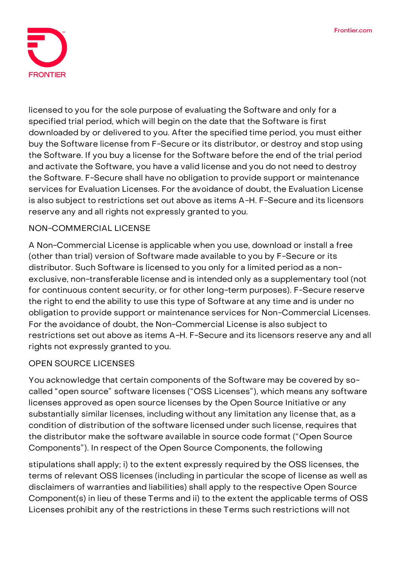

licensed to you for the sole purpose of evaluating the Software and only for a specified trial period, which will begin on the date that the Software is first downloaded by or delivered to you. After the specified time period, you must either buy the Software license from F-Secure or its distributor, or destroy and stop using the Software. If you buy a license for the Software before the end of the trial period and activate the Software, you have a valid license and you do not need to destroy the Software. F-Secure shall have no obligation to provide support or maintenance services for Evaluation Licenses. For the avoidance of doubt, the Evaluation License is also subject to restrictions set out above as items A-H. F-Secure and its licensors reserve any and all rights not expressly granted to you.

## **NON-COMMERCIAL LICENSE**

A Non-Commercial License is applicable when you use, download or install a free (other than trial) version of Software made available to you by F-Secure or its distributor. Such Software is licensed to you only for a limited period as a nonexclusive, non-transferable license and is intended only as a supplementary tool (not for continuous content security, or for other long-term purposes). F-Secure reserve the right to end the ability to use this type of Software at any time and is under no obligation to provide support or maintenance services for Non-Commercial Licenses. For the avoidance of doubt, the Non-Commercial License is also subject to restrictions set out above as items A-H. F-Secure and its licensors reserve any and all rights not expressly granted to you.

### **OPEN SOURCE LICENSES**

You acknowledge that certain components of the Software may be covered by socalled "open source" software licenses ("OSS Licenses"), which means any software licenses approved as open source licenses by the Open Source Initiative or any substantially similar licenses, including without any limitation any license that, as a condition of distribution of the software licensed under such license, requires that the distributor make the software available in source code format ("Open Source Components"). In respect of the Open Source Components, the following

stipulations shall apply; i) to the extent expressly required by the OSS licenses, the terms of relevant OSS licenses (including in particular the scope of license as well as disclaimers of warranties and liabilities) shall apply to the respective Open Source Component(s) in lieu of these Terms and ii) to the extent the applicable terms of OSS Licenses prohibit any of the restrictions in these Terms such restrictions will not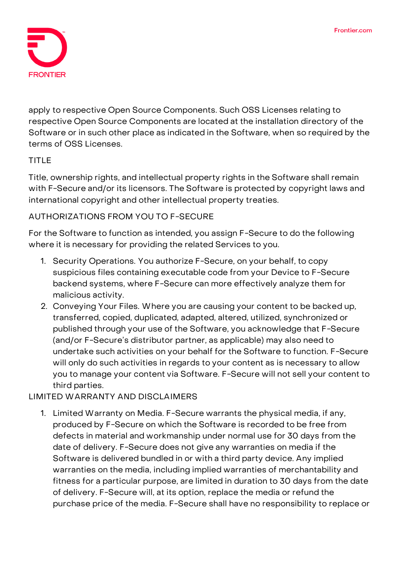

apply to respective Open Source Components. Such OSS Licenses relating to respective Open Source Components are located at the installation directory of the Software or in such other place as indicated in the Software, when so required by the terms of OSS Licenses.

## **TITLE**

Title, ownership rights, and intellectual property rights in the Software shall remain with F-Secure and/or its licensors. The Software is protected by copyright laws and international copyright and other intellectual property treaties.

## **AUTHORIZATIONS FROM YOU TO F-SECURE**

For the Software to function as intended, you assign F-Secure to do the following where it is necessary for providing the related Services to you.

- 1. **Security Operations.** You authorize F-Secure, on your behalf, to copy suspicious files containing executable code from your Device to F-Secure backend systems, where F-Secure can more effectively analyze them for malicious activity.
- 2. **Conveying Your Files.** Where you are causing your content to be backed up, transferred, copied, duplicated, adapted, altered, utilized, synchronized or published through your use of the Software, you acknowledge that F-Secure (and/or F-Secure's distributor partner, as applicable) may also need to undertake such activities on your behalf for the Software to function. F-Secure will only do such activities in regards to your content as is necessary to allow you to manage your content via Software. F-Secure will not sell your content to third parties.

## **LIMITED WARRANTY AND DISCLAIMERS**

1. Limited Warranty on Media. F-Secure warrants the physical media, if any, produced by F-Secure on which the Software is recorded to be free from defects in material and workmanship under normal use for 30 days from the date of delivery. F-Secure does not give any warranties on media if the Software is delivered bundled in or with a third party device. Any implied warranties on the media, including implied warranties of merchantability and fitness for a particular purpose, are limited in duration to 30 days from the date of delivery. F-Secure will, at its option, replace the media or refund the purchase price of the media. F-Secure shall have no responsibility to replace or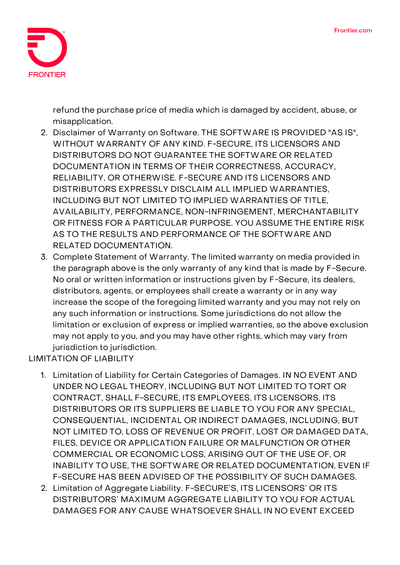

refund the purchase price of media which is damaged by accident, abuse, or misapplication.

- 2. Disclaimer of Warranty on Software. THE SOFTWARE IS PROVIDED "AS IS", WITHOUT WARRANTY OF ANY KIND. F-SECURE, ITS LICENSORS AND DISTRIBUTORS DO NOT GUARANTEE THE SOFTWARE OR RELATED DOCUMENTATION IN TERMS OF THEIR CORRECTNESS, ACCURACY, RELIABILITY, OR OTHERWISE. F-SECURE AND ITS LICENSORS AND DISTRIBUTORS EXPRESSLY DISCLAIM ALL IMPLIED WARRANTIES, INCLUDING BUT NOT LIMITED TO IMPLIED WARRANTIES OF TITLE, AVAILABILITY, PERFORMANCE, NON-INFRINGEMENT, MERCHANTABILITY OR FITNESS FOR A PARTICULAR PURPOSE. YOU ASSUME THE ENTIRE RISK AS TO THE RESULTS AND PERFORMANCE OF THE SOFTWARE AND RELATED DOCUMENTATION.
- 3. Complete Statement of Warranty. The limited warranty on media provided in the paragraph above is the only warranty of any kind that is made by F-Secure. No oral or written information or instructions given by F-Secure, its dealers, distributors, agents, or employees shall create a warranty or in any way increase the scope of the foregoing limited warranty and you may not rely on any such information or instructions. Some jurisdictions do not allow the limitation or exclusion of express or implied warranties, so the above exclusion may not apply to you, and you may have other rights, which may vary from jurisdiction to jurisdiction.

**LIMITATION OF LIABILITY**

- 1. **Limitation of Liability for Certain Categories of Damages.** IN NO EVENT AND UNDER NO LEGAL THEORY, INCLUDING BUT NOT LIMITED TO TORT OR CONTRACT, SHALL F-SECURE, ITS EMPLOYEES, ITS LICENSORS, ITS DISTRIBUTORS OR ITS SUPPLIERS BE LIABLE TO YOU FOR ANY SPECIAL, CONSEQUENTIAL, INCIDENTAL OR INDIRECT DAMAGES, INCLUDING, BUT NOT LIMITED TO, LOSS OF REVENUE OR PROFIT, LOST OR DAMAGED DATA, FILES, DEVICE OR APPLICATION FAILURE OR MALFUNCTION OR OTHER COMMERCIAL OR ECONOMIC LOSS, ARISING OUT OF THE USE OF, OR INABILITY TO USE, THE SOFTWARE OR RELATED DOCUMENTATION, EVEN IF F-SECURE HAS BEEN ADVISED OF THE POSSIBILITY OF SUCH DAMAGES.
- 2. **Limitation of Aggregate Liability.** F-SECURE'S, ITS LICENSORS' OR ITS DISTRIBUTORS' MAXIMUM AGGREGATE LIABILITY TO YOU FOR ACTUAL DAMAGES FOR ANY CAUSE WHATSOEVER SHALL IN NO EVENT EXCEED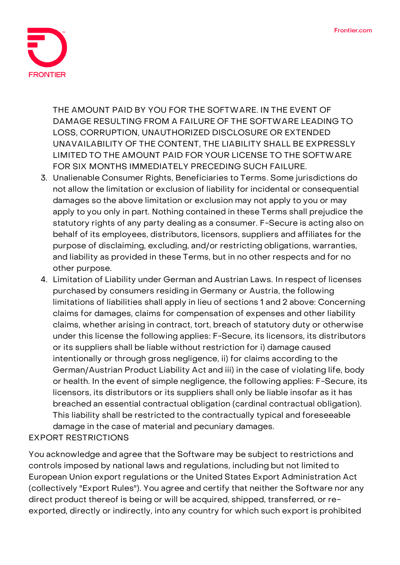

THE AMOUNT PAID BY YOU FOR THE SOFTWARE. IN THE EVENT OF DAMAGE RESULTING FROM A FAILURE OF THE SOFTWARE LEADING TO LOSS, CORRUPTION, UNAUTHORIZED DISCLOSURE OR EXTENDED UNAVAILABILITY OF THE CONTENT, THE LIABILITY SHALL BE EXPRESSLY LIMITED TO THE AMOUNT PAID FOR YOUR LICENSE TO THE SOFTWARE FOR SIX MONTHS IMMEDIATELY PRECEDING SUCH FAILURE.

- 3. **Unalienable Consumer Rights, Beneficiaries to Terms.** Some jurisdictions do not allow the limitation or exclusion of liability for incidental or consequential damages so the above limitation or exclusion may not apply to you or may apply to you only in part. Nothing contained in these Terms shall prejudice the statutory rights of any party dealing as a consumer. F-Secure is acting also on behalf of its employees, distributors, licensors, suppliers and affiliates for the purpose of disclaiming, excluding, and/or restricting obligations, warranties, and liability as provided in these Terms, but in no other respects and for no other purpose.
- 4. **Limitation of Liability under German and Austrian Laws.** In respect of licenses purchased by consumers residing in Germany or Austria, the following limitations of liabilities shall apply in lieu of sections 1 and 2 above: Concerning claims for damages, claims for compensation of expenses and other liability claims, whether arising in contract, tort, breach of statutory duty or otherwise under this license the following applies: F-Secure, its licensors, its distributors or its suppliers shall be liable without restriction for i) damage caused intentionally or through gross negligence, ii) for claims according to the German/Austrian Product Liability Act and iii) in the case of violating life, body or health. In the event of simple negligence, the following applies: F-Secure, its licensors, its distributors or its suppliers shall only be liable insofar as it has breached an essential contractual obligation (cardinal contractual obligation). This liability shall be restricted to the contractually typical and foreseeable damage in the case of material and pecuniary damages.

### **EXPORT RESTRICTIONS**

You acknowledge and agree that the Software may be subject to restrictions and controls imposed by national laws and regulations, including but not limited to European Union export regulations or the United States Export Administration Act (collectively "Export Rules"). You agree and certify that neither the Software nor any direct product thereof is being or will be acquired, shipped, transferred, or reexported, directly or indirectly, into any country for which such export is prohibited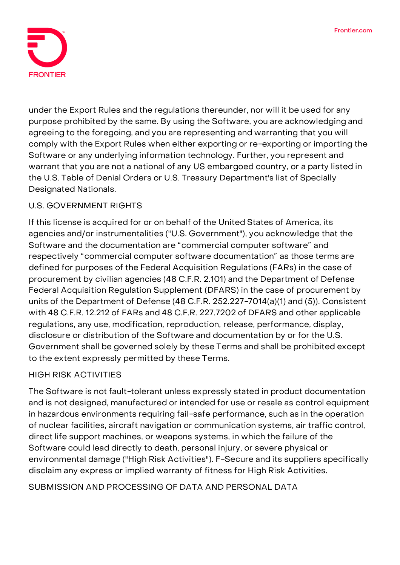

under the Export Rules and the regulations thereunder, nor will it be used for any purpose prohibited by the same. By using the Software, you are acknowledging and agreeing to the foregoing, and you are representing and warranting that you will comply with the Export Rules when either exporting or re-exporting or importing the Software or any underlying information technology. Further, you represent and warrant that you are not a national of any US embargoed country, or a party listed in the U.S. Table of Denial Orders or U.S. Treasury Department's list of Specially Designated Nationals.

### **U.S. GOVERNMENT RIGHTS**

If this license is acquired for or on behalf of the United States of America, its agencies and/or instrumentalities ("U.S. Government"), you acknowledge that the Software and the documentation are "commercial computer software" and respectively "commercial computer software documentation" as those terms are defined for purposes of the Federal Acquisition Regulations (FARs) in the case of procurement by civilian agencies (48 C.F.R. 2.101) and the Department of Defense Federal Acquisition Regulation Supplement (DFARS) in the case of procurement by units of the Department of Defense (48 C.F.R. 252.227-7014(a)(1) and (5)). Consistent with 48 C.F.R. 12.212 of FARs and 48 C.F.R. 227.7202 of DFARS and other applicable regulations, any use, modification, reproduction, release, performance, display, disclosure or distribution of the Software and documentation by or for the U.S. Government shall be governed solely by these Terms and shall be prohibited except to the extent expressly permitted by these Terms.

### **HIGH RISK ACTIVITIES**

The Software is not fault-tolerant unless expressly stated in product documentation and is not designed, manufactured or intended for use or resale as control equipment in hazardous environments requiring fail-safe performance, such as in the operation of nuclear facilities, aircraft navigation or communication systems, air traffic control, direct life support machines, or weapons systems, in which the failure of the Software could lead directly to death, personal injury, or severe physical or environmental damage ("High Risk Activities"). F-Secure and its suppliers specifically disclaim any express or implied warranty of fitness for High Risk Activities.

**SUBMISSION AND PROCESSING OF DATA AND PERSONAL DATA**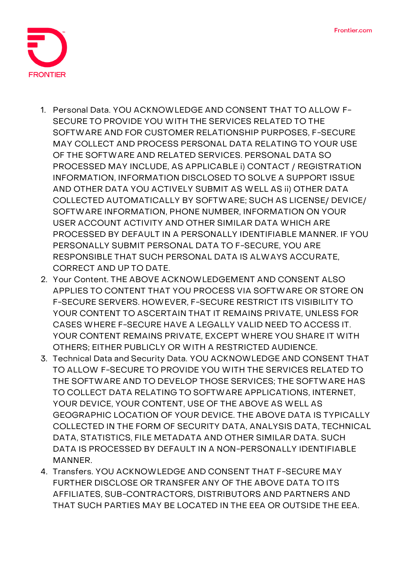

- 1. **Personal Data.** YOU ACKNOWLEDGE AND CONSENT THAT TO ALLOW F-SECURE TO PROVIDE YOU WITH THE SERVICES RELATED TO THE SOFTWARE AND FOR CUSTOMER RELATIONSHIP PURPOSES, F-SECURE MAY COLLECT AND PROCESS PERSONAL DATA RELATING TO YOUR USE OF THE SOFTWARE AND RELATED SERVICES. PERSONAL DATA SO PROCESSED MAY INCLUDE, AS APPLICABLE i) CONTACT / REGISTRATION INFORMATION, INFORMATION DISCLOSED TO SOLVE A SUPPORT ISSUE AND OTHER DATA YOU ACTIVELY SUBMIT AS WELL AS ii) OTHER DATA COLLECTED AUTOMATICALLY BY SOFTWARE; SUCH AS LICENSE/ DEVICE/ SOFTWARE INFORMATION, PHONE NUMBER, INFORMATION ON YOUR USER ACCOUNT ACTIVITY AND OTHER SIMILAR DATA WHICH ARE PROCESSED BY DEFAULT IN A PERSONALLY IDENTIFIABLE MANNER. IF YOU PERSONALLY SUBMIT PERSONAL DATA TO F-SECURE, YOU ARE RESPONSIBLE THAT SUCH PERSONAL DATA IS ALWAYS ACCURATE, CORRECT AND UP TO DATE.
- 2. **Your Content.** THE ABOVE ACKNOWLEDGEMENT AND CONSENT ALSO APPLIES TO CONTENT THAT YOU PROCESS VIA SOFTWARE OR STORE ON F-SECURE SERVERS. HOWEVER, F-SECURE RESTRICT ITS VISIBILITY TO YOUR CONTENT TO ASCERTAIN THAT IT REMAINS PRIVATE, UNLESS FOR CASES WHERE F-SECURE HAVE A LEGALLY VALID NEED TO ACCESS IT. YOUR CONTENT REMAINS PRIVATE, EXCEPT WHERE YOU SHARE IT WITH OTHERS; EITHER PUBLICLY OR WITH A RESTRICTED AUDIENCE.
- 3. **Technical Data and Security Data.** YOU ACKNOWLEDGE AND CONSENT THAT TO ALLOW F-SECURE TO PROVIDE YOU WITH THE SERVICES RELATED TO THE SOFTWARE AND TO DEVELOP THOSE SERVICES; THE SOFTWARE HAS TO COLLECT DATA RELATING TO SOFTWARE APPLICATIONS, INTERNET, YOUR DEVICE, YOUR CONTENT, USE OF THE ABOVE AS WELL AS GEOGRAPHIC LOCATION OF YOUR DEVICE. THE ABOVE DATA IS TYPICALLY COLLECTED IN THE FORM OF SECURITY DATA, ANALYSIS DATA, TECHNICAL DATA, STATISTICS, FILE METADATA AND OTHER SIMILAR DATA. SUCH DATA IS PROCESSED BY DEFAULT IN A NON-PERSONALLY IDENTIFIABLE **MANNER**
- 4. **Transfers.** YOU ACKNOWLEDGE AND CONSENT THAT F-SECURE MAY FURTHER DISCLOSE OR TRANSFER ANY OF THE ABOVE DATA TO ITS AFFILIATES, SUB-CONTRACTORS, DISTRIBUTORS AND PARTNERS AND THAT SUCH PARTIES MAY BE LOCATED IN THE EEA OR OUTSIDE THE EEA.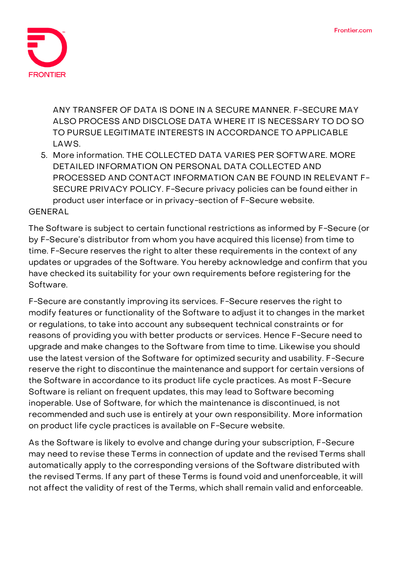

ANY TRANSFER OF DATA IS DONE IN A SECURE MANNER. F-SECURE MAY ALSO PROCESS AND DISCLOSE DATA WHERE IT IS NECESSARY TO DO SO TO PURSUE LEGITIMATE INTERESTS IN ACCORDANCE TO APPLICABLE LAWS.

5. **More information.** THE COLLECTED DATA VARIES PER SOFTWARE. MORE DETAILED INFORMATION ON PERSONAL DATA COLLECTED AND PROCESSED AND CONTACT INFORMATION CAN BE FOUND IN RELEVANT F-SECURE PRIVACY POLICY. F-Secure privacy policies can be found either in product user interface or in privacy-section of F-Secure website.

**GENERAL**

The Software is subject to certain functional restrictions as informed by F-Secure (or by F-Secure's distributor from whom you have acquired this license) from time to time. F-Secure reserves the right to alter these requirements in the context of any updates or upgrades of the Software. You hereby acknowledge and confirm that you have checked its suitability for your own requirements before registering for the Software.

F-Secure are constantly improving its services. F-Secure reserves the right to modify features or functionality of the Software to adjust it to changes in the market or regulations, to take into account any subsequent technical constraints or for reasons of providing you with better products or services. Hence F-Secure need to upgrade and make changes to the Software from time to time. Likewise you should use the latest version of the Software for optimized security and usability. F-Secure reserve the right to discontinue the maintenance and support for certain versions of the Software in accordance to its product life cycle practices. As most F-Secure Software is reliant on frequent updates, this may lead to Software becoming inoperable. Use of Software, for which the maintenance is discontinued, is not recommended and such use is entirely at your own responsibility. More information on product life cycle practices is available on F-Secure website.

As the Software is likely to evolve and change during your subscription, F-Secure may need to revise these Terms in connection of update and the revised Terms shall automatically apply to the corresponding versions of the Software distributed with the revised Terms. If any part of these Terms is found void and unenforceable, it will not affect the validity of rest of the Terms, which shall remain valid and enforceable.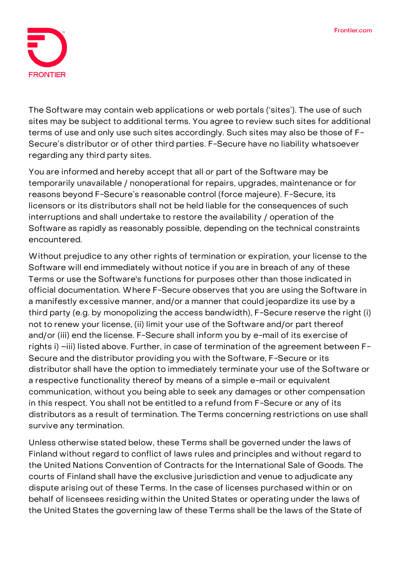

The Software may contain web applications or web portals ('sites'). The use of such sites may be subject to additional terms. You agree to review such sites for additional terms of use and only use such sites accordingly. Such sites may also be those of F-Secure's distributor or of other third parties. F-Secure have no liability whatsoever regarding any third party sites.

You are informed and hereby accept that all or part of the Software may be temporarily unavailable / nonoperational for repairs, upgrades, maintenance or for reasons beyond F-Secure's reasonable control (force majeure). F-Secure, its licensors or its distributors shall not be held liable for the consequences of such interruptions and shall undertake to restore the availability / operation of the Software as rapidly as reasonably possible, depending on the technical constraints encountered.

Without prejudice to any other rights of termination or expiration, your license to the Software will end immediately without notice if you are in breach of any of these Terms or use the Software's functions for purposes other than those indicated in official documentation. Where F-Secure observes that you are using the Software in a manifestly excessive manner, and/or a manner that could jeopardize its use by a third party (e.g. by monopolizing the access bandwidth), F-Secure reserve the right (i) not to renew your license, (ii) limit your use of the Software and/or part thereof and/or (iii) end the license. F-Secure shall inform you by e-mail of its exercise of rights i) –iii) listed above. Further, in case of termination of the agreement between F-Secure and the distributor providing you with the Software, F-Secure or its distributor shall have the option to immediately terminate your use of the Software or a respective functionality thereof by means of a simple e-mail or equivalent communication, without you being able to seek any damages or other compensation in this respect. You shall not be entitled to a refund from F-Secure or any of its distributors as a result of termination. The Terms concerning restrictions on use shall survive any termination.

Unless otherwise stated below, these Terms shall be governed under the laws of Finland without regard to conflict of laws rules and principles and without regard to the United Nations Convention of Contracts for the International Sale of Goods. The courts of Finland shall have the exclusive jurisdiction and venue to adjudicate any dispute arising out of these Terms. In the case of licenses purchased within or on behalf of licensees residing within the United States or operating under the laws of the United States the governing law of these Terms shall be the laws of the State of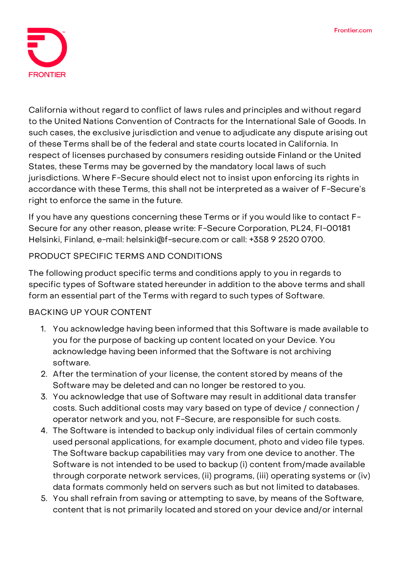

California without regard to conflict of laws rules and principles and without regard to the United Nations Convention of Contracts for the International Sale of Goods. In such cases, the exclusive jurisdiction and venue to adjudicate any dispute arising out of these Terms shall be of the federal and state courts located in California. In respect of licenses purchased by consumers residing outside Finland or the United States, these Terms may be governed by the mandatory local laws of such jurisdictions. Where F-Secure should elect not to insist upon enforcing its rights in accordance with these Terms, this shall not be interpreted as a waiver of F-Secure's right to enforce the same in the future.

If you have any questions concerning these Terms or if you would like to contact F-Secure for any other reason, please write: F-Secure Corporation, PL24, FI-00181 Helsinki, Finland, e-mail: helsinki@f-secure.com or call: +358 9 2520 0700.

### **PRODUCT SPECIFIC TERMS AND CONDITIONS**

The following product specific terms and conditions apply to you in regards to specific types of Software stated hereunder in addition to the above terms and shall form an essential part of the Terms with regard to such types of Software.

### **BACKING UP YOUR CONTENT**

- 1. You acknowledge having been informed that this Software is made available to you for the purpose of backing up content located on your Device. You acknowledge having been informed that the Software is not archiving software.
- 2. After the termination of your license, the content stored by means of the Software may be deleted and can no longer be restored to you.
- 3. You acknowledge that use of Software may result in additional data transfer costs. Such additional costs may vary based on type of device / connection / operator network and you, not F-Secure, are responsible for such costs.
- 4. The Software is intended to backup only individual files of certain commonly used personal applications, for example document, photo and video file types. The Software backup capabilities may vary from one device to another. The Software is not intended to be used to backup (i) content from/made available through corporate network services, (ii) programs, (iii) operating systems or (iv) data formats commonly held on servers such as but not limited to databases.
- 5. You shall refrain from saving or attempting to save, by means of the Software, content that is not primarily located and stored on your device and/or internal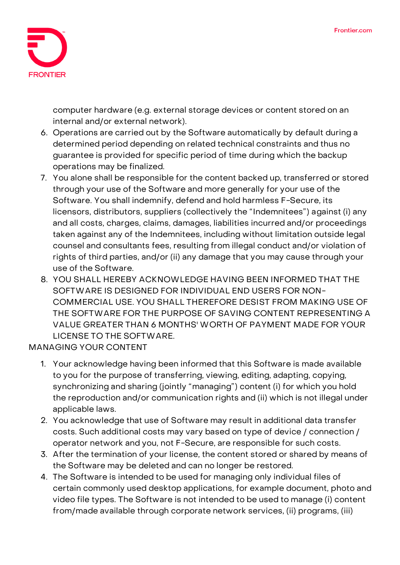

computer hardware (e.g. external storage devices or content stored on an internal and/or external network).

- 6. Operations are carried out by the Software automatically by default during a determined period depending on related technical constraints and thus no guarantee is provided for specific period of time during which the backup operations may be finalized.
- 7. You alone shall be responsible for the content backed up, transferred or stored through your use of the Software and more generally for your use of the Software. You shall indemnify, defend and hold harmless F-Secure, its licensors, distributors, suppliers (collectively the "Indemnitees") against (i) any and all costs, charges, claims, damages, liabilities incurred and/or proceedings taken against any of the Indemnitees, including without limitation outside legal counsel and consultants fees, resulting from illegal conduct and/or violation of rights of third parties, and/or (ii) any damage that you may cause through your use of the Software.
- 8. YOU SHALL HEREBY ACKNOWLEDGE HAVING BEEN INFORMED THAT THE SOFTWARE IS DESIGNED FOR INDIVIDUAL END USERS FOR NON-COMMERCIAL USE. YOU SHALL THEREFORE DESIST FROM MAKING USE OF THE SOFTWARE FOR THE PURPOSE OF SAVING CONTENT REPRESENTING A VALUE GREATER THAN 6 MONTHS' WORTH OF PAYMENT MADE FOR YOUR LICENSE TO THE SOFTWARE.

**MANAGING YOUR CONTENT**

- 1. Your acknowledge having been informed that this Software is made available to you for the purpose of transferring, viewing, editing, adapting, copying, synchronizing and sharing (jointly "managing") content (i) for which you hold the reproduction and/or communication rights and (ii) which is not illegal under applicable laws.
- 2. You acknowledge that use of Software may result in additional data transfer costs. Such additional costs may vary based on type of device / connection / operator network and you, not F-Secure, are responsible for such costs.
- 3. After the termination of your license, the content stored or shared by means of the Software may be deleted and can no longer be restored.
- 4. The Software is intended to be used for managing only individual files of certain commonly used desktop applications, for example document, photo and video file types. The Software is not intended to be used to manage (i) content from/made available through corporate network services, (ii) programs, (iii)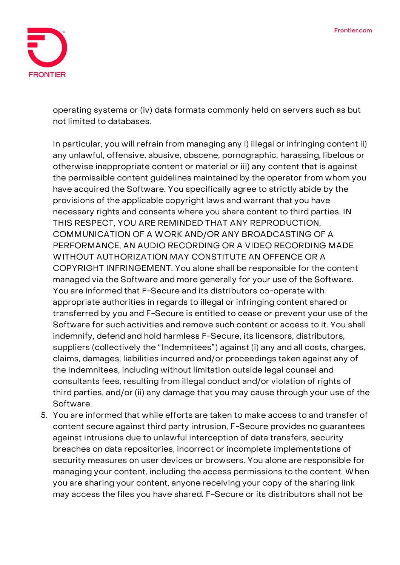

operating systems or (iv) data formats commonly held on servers such as but not limited to databases.

In particular, you will refrain from managing any i) illegal or infringing content ii) any unlawful, offensive, abusive, obscene, pornographic, harassing, libelous or otherwise inappropriate content or material or iii) any content that is against the permissible content guidelines maintained by the operator from whom you have acquired the Software. You specifically agree to strictly abide by the provisions of the applicable copyright laws and warrant that you have necessary rights and consents where you share content to third parties. IN THIS RESPECT, YOU ARE REMINDED THAT ANY REPRODUCTION, COMMUNICATION OF A WORK AND/OR ANY BROADCASTING OF A PERFORMANCE, AN AUDIO RECORDING OR A VIDEO RECORDING MADE WITHOUT AUTHORIZATION MAY CONSTITUTE AN OFFENCE OR A COPYRIGHT INFRINGEMENT. You alone shall be responsible for the content managed via the Software and more generally for your use of the Software. You are informed that F-Secure and its distributors co-operate with appropriate authorities in regards to illegal or infringing content shared or transferred by you and F-Secure is entitled to cease or prevent your use of the Software for such activities and remove such content or access to it. You shall indemnify, defend and hold harmless F-Secure, its licensors, distributors, suppliers (collectively the "Indemnitees") against (i) any and all costs, charges, claims, damages, liabilities incurred and/or proceedings taken against any of the Indemnitees, including without limitation outside legal counsel and consultants fees, resulting from illegal conduct and/or violation of rights of third parties, and/or (ii) any damage that you may cause through your use of the Software.

5. You are informed that while efforts are taken to make access to and transfer of content secure against third party intrusion, F-Secure provides no guarantees against intrusions due to unlawful interception of data transfers, security breaches on data repositories, incorrect or incomplete implementations of security measures on user devices or browsers. You alone are responsible for managing your content, including the access permissions to the content. When you are sharing your content, anyone receiving your copy of the sharing link may access the files you have shared. F-Secure or its distributors shall not be